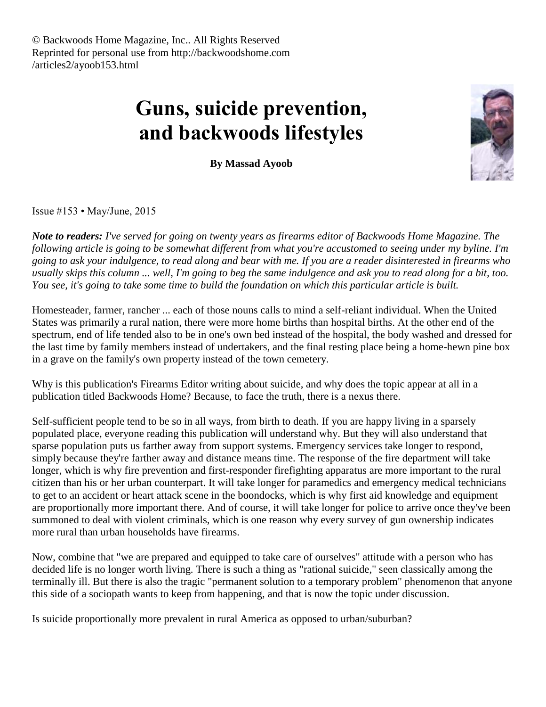# **Guns, suicide prevention, and backwoods lifestyles**

**By Massad Ayoob**

Issue #153 • May/June, 2015

*Note to readers: I've served for going on twenty years as firearms editor of Backwoods Home Magazine. The following article is going to be somewhat different from what you're accustomed to seeing under my byline. I'm going to ask your indulgence, to read along and bear with me. If you are a reader disinterested in firearms who usually skips this column ... well, I'm going to beg the same indulgence and ask you to read along for a bit, too. You see, it's going to take some time to build the foundation on which this particular article is built.*

Homesteader, farmer, rancher ... each of those nouns calls to mind a self-reliant individual. When the United States was primarily a rural nation, there were more home births than hospital births. At the other end of the spectrum, end of life tended also to be in one's own bed instead of the hospital, the body washed and dressed for the last time by family members instead of undertakers, and the final resting place being a home-hewn pine box in a grave on the family's own property instead of the town cemetery.

Why is this publication's Firearms Editor writing about suicide, and why does the topic appear at all in a publication titled Backwoods Home? Because, to face the truth, there is a nexus there.

Self-sufficient people tend to be so in all ways, from birth to death. If you are happy living in a sparsely populated place, everyone reading this publication will understand why. But they will also understand that sparse population puts us farther away from support systems. Emergency services take longer to respond, simply because they're farther away and distance means time. The response of the fire department will take longer, which is why fire prevention and first-responder firefighting apparatus are more important to the rural citizen than his or her urban counterpart. It will take longer for paramedics and emergency medical technicians to get to an accident or heart attack scene in the boondocks, which is why first aid knowledge and equipment are proportionally more important there. And of course, it will take longer for police to arrive once they've been summoned to deal with violent criminals, which is one reason why every survey of gun ownership indicates more rural than urban households have firearms.

Now, combine that "we are prepared and equipped to take care of ourselves" attitude with a person who has decided life is no longer worth living. There is such a thing as "rational suicide," seen classically among the terminally ill. But there is also the tragic "permanent solution to a temporary problem" phenomenon that anyone this side of a sociopath wants to keep from happening, and that is now the topic under discussion.

Is suicide proportionally more prevalent in rural America as opposed to urban/suburban?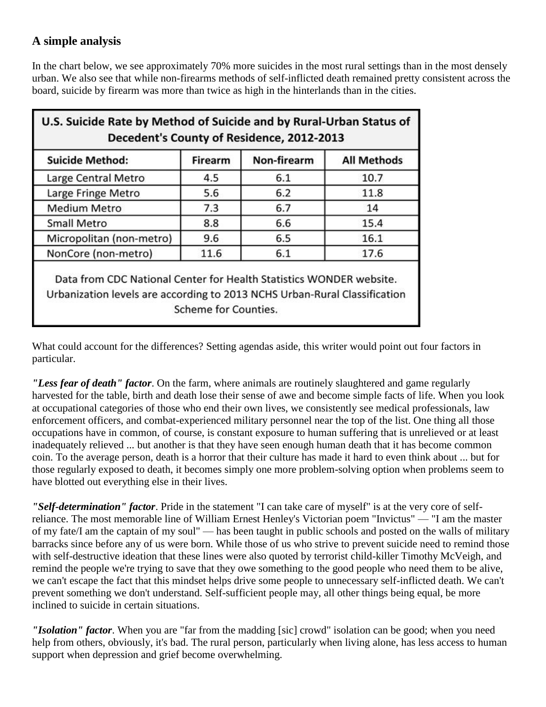# **A simple analysis**

In the chart below, we see approximately 70% more suicides in the most rural settings than in the most densely urban. We also see that while non-firearms methods of self-inflicted death remained pretty consistent across the board, suicide by firearm was more than twice as high in the hinterlands than in the cities.

| <b>Suicide Method:</b>   | <b>Firearm</b> | Non-firearm | <b>All Methods</b> |
|--------------------------|----------------|-------------|--------------------|
| Large Central Metro      | 4.5            | 6.1         | 10.7               |
| Large Fringe Metro       | 5.6            | 6.2         | 11.8               |
| <b>Medium Metro</b>      | 7.3            | 6.7         | 14                 |
| <b>Small Metro</b>       | 8.8            | 6.6         | 15.4               |
| Micropolitan (non-metro) | 9.6            | 6.5         | 16.1               |
| NonCore (non-metro)      | 11.6           | 6.1         | 17.6               |

What could account for the differences? Setting agendas aside, this writer would point out four factors in particular.

*"Less fear of death" factor*. On the farm, where animals are routinely slaughtered and game regularly harvested for the table, birth and death lose their sense of awe and become simple facts of life. When you look at occupational categories of those who end their own lives, we consistently see medical professionals, law enforcement officers, and combat-experienced military personnel near the top of the list. One thing all those occupations have in common, of course, is constant exposure to human suffering that is unrelieved or at least inadequately relieved ... but another is that they have seen enough human death that it has become common coin. To the average person, death is a horror that their culture has made it hard to even think about ... but for those regularly exposed to death, it becomes simply one more problem-solving option when problems seem to have blotted out everything else in their lives.

*"Self-determination" factor*. Pride in the statement "I can take care of myself" is at the very core of selfreliance. The most memorable line of William Ernest Henley's Victorian poem "Invictus" — "I am the master of my fate/I am the captain of my soul" — has been taught in public schools and posted on the walls of military barracks since before any of us were born. While those of us who strive to prevent suicide need to remind those with self-destructive ideation that these lines were also quoted by terrorist child-killer Timothy McVeigh, and remind the people we're trying to save that they owe something to the good people who need them to be alive, we can't escape the fact that this mindset helps drive some people to unnecessary self-inflicted death. We can't prevent something we don't understand. Self-sufficient people may, all other things being equal, be more inclined to suicide in certain situations.

*"Isolation" factor*. When you are "far from the madding [sic] crowd" isolation can be good; when you need help from others, obviously, it's bad. The rural person, particularly when living alone, has less access to human support when depression and grief become overwhelming.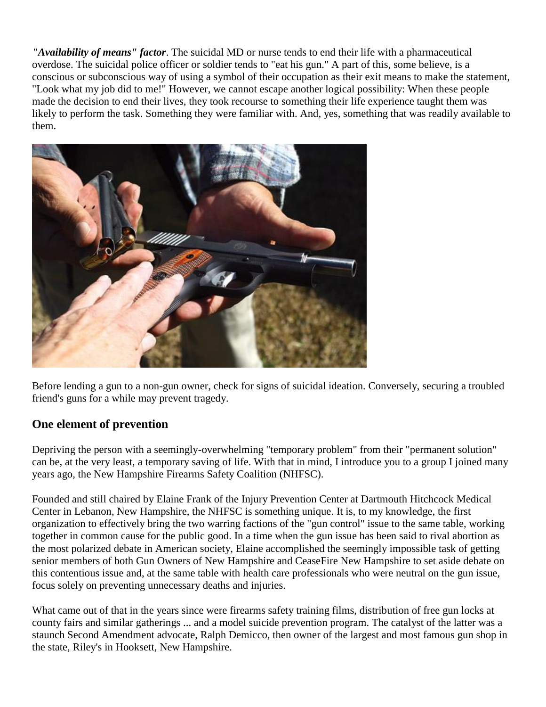*"Availability of means" factor*. The suicidal MD or nurse tends to end their life with a pharmaceutical overdose. The suicidal police officer or soldier tends to "eat his gun." A part of this, some believe, is a conscious or subconscious way of using a symbol of their occupation as their exit means to make the statement, "Look what my job did to me!" However, we cannot escape another logical possibility: When these people made the decision to end their lives, they took recourse to something their life experience taught them was likely to perform the task. Something they were familiar with. And, yes, something that was readily available to them.



Before lending a gun to a non-gun owner, check for signs of suicidal ideation. Conversely, securing a troubled friend's guns for a while may prevent tragedy.

# **One element of prevention**

Depriving the person with a seemingly-overwhelming "temporary problem" from their "permanent solution" can be, at the very least, a temporary saving of life. With that in mind, I introduce you to a group I joined many years ago, the New Hampshire Firearms Safety Coalition (NHFSC).

Founded and still chaired by Elaine Frank of the Injury Prevention Center at Dartmouth Hitchcock Medical Center in Lebanon, New Hampshire, the NHFSC is something unique. It is, to my knowledge, the first organization to effectively bring the two warring factions of the "gun control" issue to the same table, working together in common cause for the public good. In a time when the gun issue has been said to rival abortion as the most polarized debate in American society, Elaine accomplished the seemingly impossible task of getting senior members of both Gun Owners of New Hampshire and CeaseFire New Hampshire to set aside debate on this contentious issue and, at the same table with health care professionals who were neutral on the gun issue, focus solely on preventing unnecessary deaths and injuries.

What came out of that in the years since were firearms safety training films, distribution of free gun locks at county fairs and similar gatherings ... and a model suicide prevention program. The catalyst of the latter was a staunch Second Amendment advocate, Ralph Demicco, then owner of the largest and most famous gun shop in the state, Riley's in Hooksett, New Hampshire.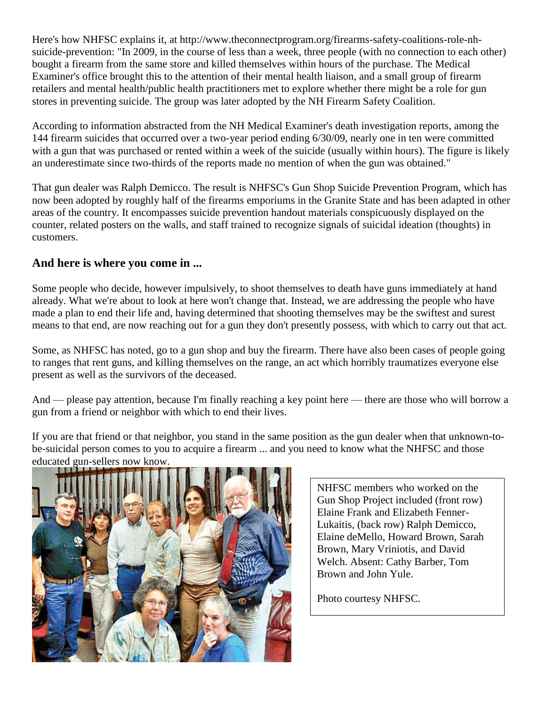Here's how NHFSC explains it, at http://www.theconnectprogram.org/firearms-safety-coalitions-role-nhsuicide-prevention: "In 2009, in the course of less than a week, three people (with no connection to each other) bought a firearm from the same store and killed themselves within hours of the purchase. The Medical Examiner's office brought this to the attention of their mental health liaison, and a small group of firearm retailers and mental health/public health practitioners met to explore whether there might be a role for gun stores in preventing suicide. The group was later adopted by the NH Firearm Safety Coalition.

According to information abstracted from the NH Medical Examiner's death investigation reports, among the 144 firearm suicides that occurred over a two-year period ending 6/30/09, nearly one in ten were committed with a gun that was purchased or rented within a week of the suicide (usually within hours). The figure is likely an underestimate since two-thirds of the reports made no mention of when the gun was obtained."

That gun dealer was Ralph Demicco. The result is NHFSC's Gun Shop Suicide Prevention Program, which has now been adopted by roughly half of the firearms emporiums in the Granite State and has been adapted in other areas of the country. It encompasses suicide prevention handout materials conspicuously displayed on the counter, related posters on the walls, and staff trained to recognize signals of suicidal ideation (thoughts) in customers.

#### **And here is where you come in ...**

Some people who decide, however impulsively, to shoot themselves to death have guns immediately at hand already. What we're about to look at here won't change that. Instead, we are addressing the people who have made a plan to end their life and, having determined that shooting themselves may be the swiftest and surest means to that end, are now reaching out for a gun they don't presently possess, with which to carry out that act.

Some, as NHFSC has noted, go to a gun shop and buy the firearm. There have also been cases of people going to ranges that rent guns, and killing themselves on the range, an act which horribly traumatizes everyone else present as well as the survivors of the deceased.

And — please pay attention, because I'm finally reaching a key point here — there are those who will borrow a gun from a friend or neighbor with which to end their lives.

If you are that friend or that neighbor, you stand in the same position as the gun dealer when that unknown-tobe-suicidal person comes to you to acquire a firearm ... and you need to know what the NHFSC and those educated gun-sellers now know.



NHFSC members who worked on the Gun Shop Project included (front row) Elaine Frank and Elizabeth Fenner-Lukaitis, (back row) Ralph Demicco, Elaine deMello, Howard Brown, Sarah Brown, Mary Vriniotis, and David Welch. Absent: Cathy Barber, Tom Brown and John Yule.

Photo courtesy NHFSC.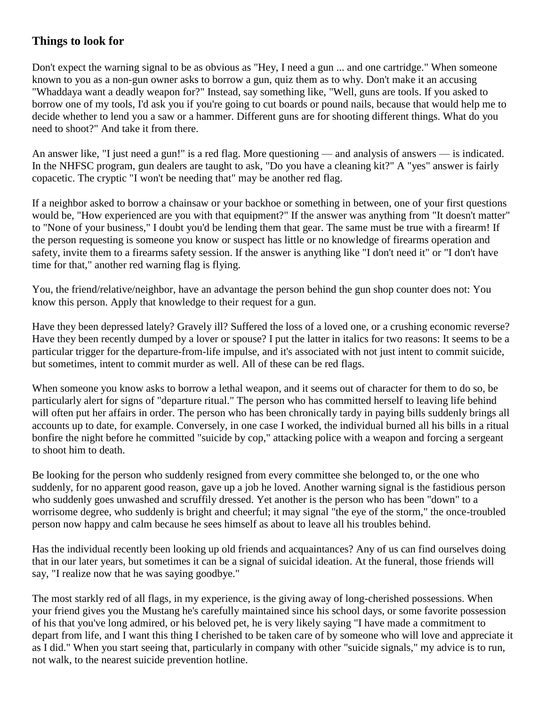# **Things to look for**

Don't expect the warning signal to be as obvious as "Hey, I need a gun ... and one cartridge." When someone known to you as a non-gun owner asks to borrow a gun, quiz them as to why. Don't make it an accusing "Whaddaya want a deadly weapon for?" Instead, say something like, "Well, guns are tools. If you asked to borrow one of my tools, I'd ask you if you're going to cut boards or pound nails, because that would help me to decide whether to lend you a saw or a hammer. Different guns are for shooting different things. What do you need to shoot?" And take it from there.

An answer like, "I just need a gun!" is a red flag. More questioning — and analysis of answers — is indicated. In the NHFSC program, gun dealers are taught to ask, "Do you have a cleaning kit?" A "yes" answer is fairly copacetic. The cryptic "I won't be needing that" may be another red flag.

If a neighbor asked to borrow a chainsaw or your backhoe or something in between, one of your first questions would be, "How experienced are you with that equipment?" If the answer was anything from "It doesn't matter" to "None of your business," I doubt you'd be lending them that gear. The same must be true with a firearm! If the person requesting is someone you know or suspect has little or no knowledge of firearms operation and safety, invite them to a firearms safety session. If the answer is anything like "I don't need it" or "I don't have time for that," another red warning flag is flying.

You, the friend/relative/neighbor, have an advantage the person behind the gun shop counter does not: You know this person. Apply that knowledge to their request for a gun.

Have they been depressed lately? Gravely ill? Suffered the loss of a loved one, or a crushing economic reverse? Have they been recently dumped by a lover or spouse? I put the latter in italics for two reasons: It seems to be a particular trigger for the departure-from-life impulse, and it's associated with not just intent to commit suicide, but sometimes, intent to commit murder as well. All of these can be red flags.

When someone you know asks to borrow a lethal weapon, and it seems out of character for them to do so, be particularly alert for signs of "departure ritual." The person who has committed herself to leaving life behind will often put her affairs in order. The person who has been chronically tardy in paying bills suddenly brings all accounts up to date, for example. Conversely, in one case I worked, the individual burned all his bills in a ritual bonfire the night before he committed "suicide by cop," attacking police with a weapon and forcing a sergeant to shoot him to death.

Be looking for the person who suddenly resigned from every committee she belonged to, or the one who suddenly, for no apparent good reason, gave up a job he loved. Another warning signal is the fastidious person who suddenly goes unwashed and scruffily dressed. Yet another is the person who has been "down" to a worrisome degree, who suddenly is bright and cheerful; it may signal "the eye of the storm," the once-troubled person now happy and calm because he sees himself as about to leave all his troubles behind.

Has the individual recently been looking up old friends and acquaintances? Any of us can find ourselves doing that in our later years, but sometimes it can be a signal of suicidal ideation. At the funeral, those friends will say, "I realize now that he was saying goodbye."

The most starkly red of all flags, in my experience, is the giving away of long-cherished possessions. When your friend gives you the Mustang he's carefully maintained since his school days, or some favorite possession of his that you've long admired, or his beloved pet, he is very likely saying "I have made a commitment to depart from life, and I want this thing I cherished to be taken care of by someone who will love and appreciate it as I did." When you start seeing that, particularly in company with other "suicide signals," my advice is to run, not walk, to the nearest suicide prevention hotline.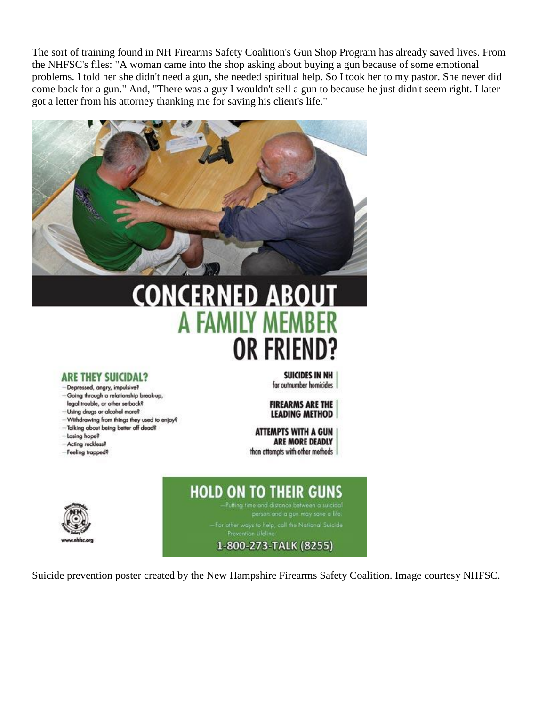The sort of training found in NH Firearms Safety Coalition's Gun Shop Program has already saved lives. From the NHFSC's files: "A woman came into the shop asking about buying a gun because of some emotional problems. I told her she didn't need a gun, she needed spiritual help. So I took her to my pastor. She never did come back for a gun." And, "There was a guy I wouldn't sell a gun to because he just didn't seem right. I later got a letter from his attorney thanking me for saving his client's life."



# **ONCERNED ABOL** A FAMILY MEM **OR FRIEN**

#### **ARE THEY SUICIDAL?**

- Depressed, angry, impulsive?
- Going through a relationship break-up, legal trouble, or other setback?
- -Using drugs or alcohol more?
- Withdrawing from things they used to enjoy?
- -Talking about being better off dead?
- -Losing hope?
- Acting reckless?
- -Feeling trapped?

SUICIDES IN NH for outnumber homicides

**FIREARMS ARE THE LEADING METHOD** 

**ATTEMPTS WITH A GUN ARE MORE DEADLY** than attempts with other methods

# **HOLD ON TO THEIR GUNS**

# 1-800-273-TALK (8255)

Suicide prevention poster created by the New Hampshire Firearms Safety Coalition. Image courtesy NHFSC.